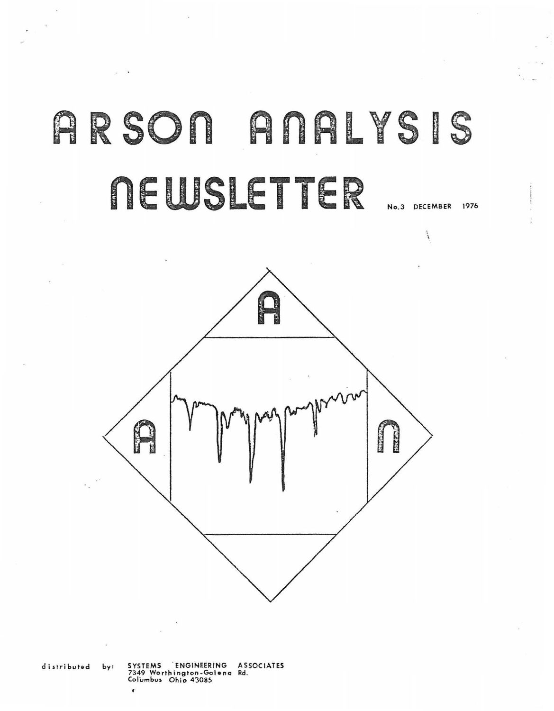# A R **SOn A n A l** Y S I S **NEWSLETTER** No.3 DECEMBER 1976

 $\ddot{i}$ 



distributed by: SYSTEMS . ENGINEERING AS SOCIATES 7 349 Worthington - Goleno Rd. Columbus Ohio 4'3085

•

 $\omega$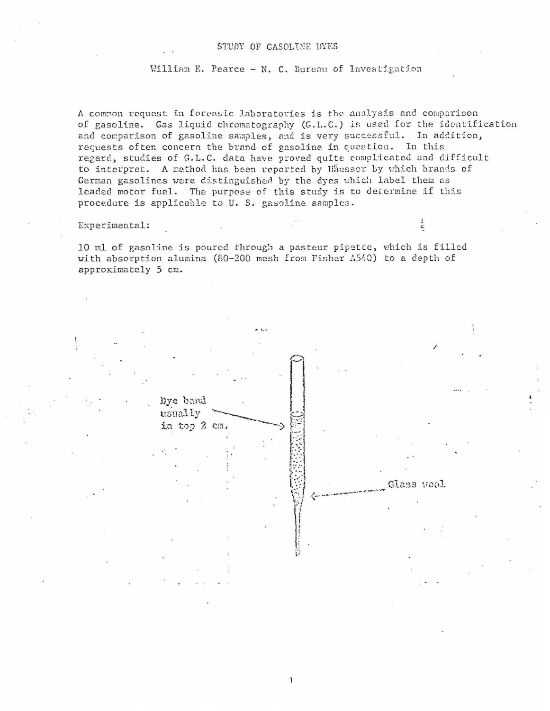### STUDY OF CASOLINE DYES

William E. Pearce - N. C. Bureau of Investigation

A common request in forensic laboratories is the analysis and comparison of gasoline. Gas liquid chromatography (G.I.C.) is used for the identification and comparison of gasoline samples, and is very successful. In addition, requests often concern the brand of gasoline in question. In this regard, studies of G.L.C. data have proved quite complicated and difficult to interpret. A method has been reported by Häusser by which brands of German gasolines were distinguished by the dyes which label them as leaded motor fuel. The purpose of this study is to determine if this procedure is applicable to U. S. gasoline samples.

### Experimental:

10 ml of gasoline is poured through a pasteur pipette, which is filled with absorption alumina (80-200 mesh from Fisher A540) to a depth of approximately 5 cm.

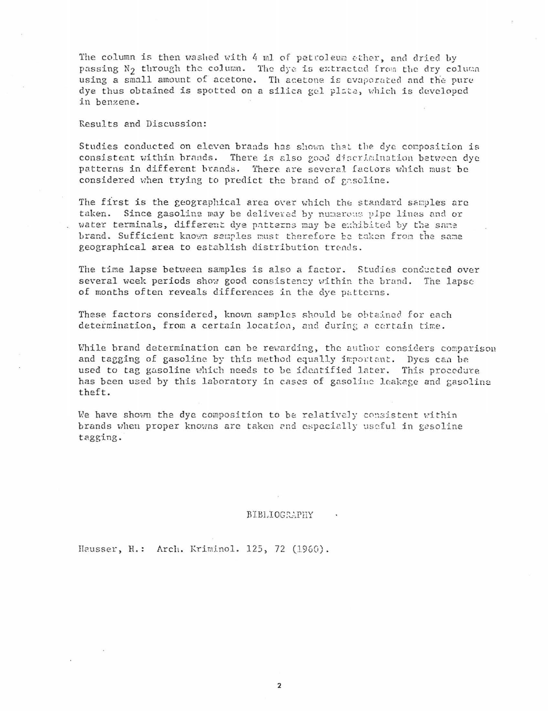The column is then washed with 4 ml of petroleum ether, and dried by passing N<sub>2</sub> through the column. The dye is extracted from the dry column using a small amount of acetone. Th acetone is evaporated and the pure dye thus obtained is spotted on a silica gel plate, which is developed in benzene.

Results and Discussion:

Studies conducted on eleven brands has shown that the dye composition is consistent within brands. There is also good discrimination between dye patterns in different brands. There are several factors which must be considered when trying to predict the brand of gasoline.

The first is the geographical area over which the standard samples are taken. Since gasoline may be delivered by numerous pipe lines and or water terminals, different dye patterns may be exhibited by the same brand. Sufficient known semples must therefore be taken from the same geographical area to establish distribution trends.

The time lapse between samples is also a factor. Studies conducted over several week periods show good consistency within the brand. The lapse of months often reveals differences in the dye patterns.

These factors considered, known samples should be obtained for each determination, from a certain location, and during a certain time.

While brand determination can be rewarding, the author considers comparison and tagging of gasoline by this method equally important. Dyes can be used to tag gasoline which needs to be identified later. This procedure has been used by this laboratory in cases of gasoline leakage and gasoline theft.

We have shown the dye composition to be relatively consistent within brands when proper knowns are taken and especially useful in gasoline tagging.

### **BIBLIOGRAPHY**

Hausser, H.: Arch. Kriminol. 125, 72 (1966).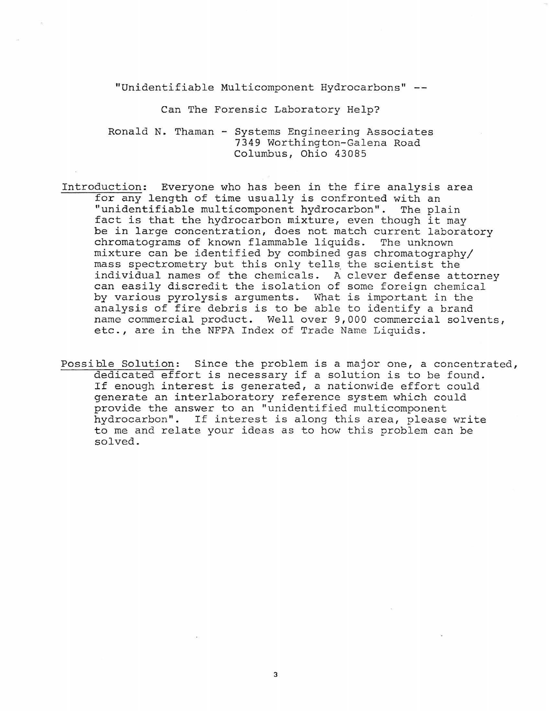"Unidentifiable Multicomponent Hydrocarbons"

Can The Forensic Laboratory Help?

Ronald N. Thaman - Systems Engineering Associates 7349 Worthington-Galena Road Columbus, Ohio 43085

- Introduction: Everyone who has been in the fire analysis area for any length of time usually is confronted with an "unidentifiable multicomponent hydrocarbon". The plain fact is that the hydrocarbon mixture, even though it may be in large concentration, does not match current laboratory<br>chromatograms of known flammable liquids. The unknown chromatograms of known flammable liquids. mixture can be identified by combined gas chromatography/ mass spectrometry but this only tells the scientist the individual names of the chemicals. A clever defense attorney can easily discredit the isolation of some foreign chemical by various pyrolysis arguments. What is important in the analysis of fire debris is to be able to identify a brand name commercial product. Well over 9,000 commercial solvents, etc., are in the NFPA Index of Trade Name Liquids.
- Possible Solution: Since the problem is a major one, a concentrated, dedicated effort is necessary if a solution is to be found. If enough interest is generated, a nationwide effort could generate an interlaboratory reference system which could provide the answer to an "unidentified multicomponent hydrocarbon". If interest is along this area, please write to me and relate your ideas as to how this problem can be solved.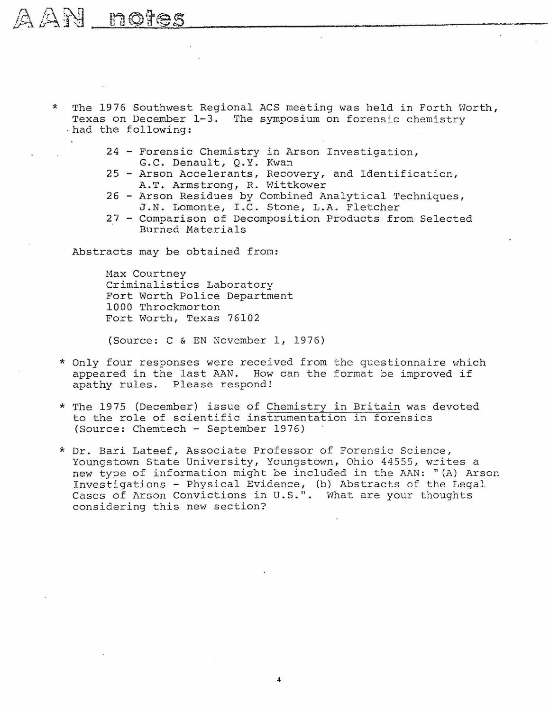- \* The 1976 Southwest Regional ACS meeting was held in Forth Worth, Texas on December 1-3. The symposium on forensic chemistry . had the following:
	- 24 Forensic Chemistry in Arson Investigation, G.C. Denault, Q.Y. Kwan
	- 25 Arson Accelerants, Recovery, and Identification, A.T. Armstrong, R. Wittkower
	- 26 Arson Residues by Combined Analytical Techniques, J.N. Lomonte, I.C. Stone, L.A. Fletcher
	- 27 Comparison of Decomposition Products from Selected Burned Materials

Abstracts may be obtained from:

Max Courtney Criminalistics Laboratory Fort Worth Police Department 1000 Throckmorton Fort Worth, Texas 76102

(Source: C & EN November 1, 1976)

- \* Only four responses were received from the questionnaire which appeared in the last AAN. How can the format be improved if apathy rules. Please respond!
- \* The 1975 (December) issue of Chemistry in Britain was devoted to the role of scientific instrumentation *in* forensics (Source: Chemtech - September 1976)
- \* Dr. Bari Lateef, Associate Professor of Forensic Science, Youngstown State University, Youngstown, Ohio 44555, writes a new type of information might be included *in* the AAN: "(A) Arson Investigations - Physical Evidence, (b) Abstracts of the Legal Cases of Arson Convictions in U.S.". What are your thoughts considering this new section?

4